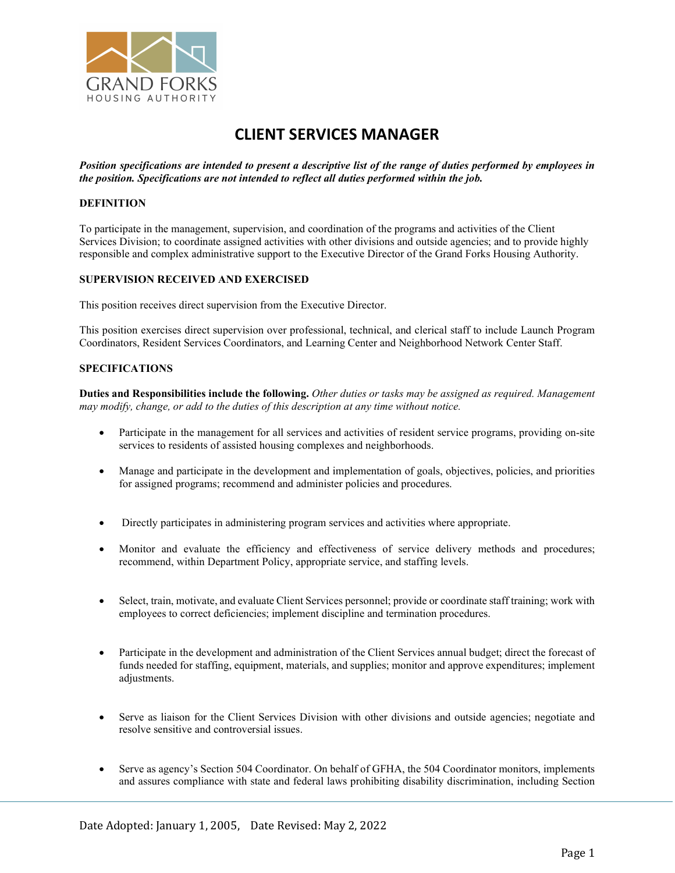

Position specifications are intended to present a descriptive list of the range of duties performed by employees in the position. Specifications are not intended to reflect all duties performed within the job.

## DEFINITION

To participate in the management, supervision, and coordination of the programs and activities of the Client Services Division; to coordinate assigned activities with other divisions and outside agencies; and to provide highly responsible and complex administrative support to the Executive Director of the Grand Forks Housing Authority.

#### SUPERVISION RECEIVED AND EXERCISED

This position receives direct supervision from the Executive Director.

This position exercises direct supervision over professional, technical, and clerical staff to include Launch Program Coordinators, Resident Services Coordinators, and Learning Center and Neighborhood Network Center Staff.

#### SPECIFICATIONS

Duties and Responsibilities include the following. Other duties or tasks may be assigned as required. Management may modify, change, or add to the duties of this description at any time without notice.

- Participate in the management for all services and activities of resident service programs, providing on-site services to residents of assisted housing complexes and neighborhoods.
- Manage and participate in the development and implementation of goals, objectives, policies, and priorities for assigned programs; recommend and administer policies and procedures.
- Directly participates in administering program services and activities where appropriate.
- Monitor and evaluate the efficiency and effectiveness of service delivery methods and procedures; recommend, within Department Policy, appropriate service, and staffing levels.
- Select, train, motivate, and evaluate Client Services personnel; provide or coordinate staff training; work with employees to correct deficiencies; implement discipline and termination procedures.
- Participate in the development and administration of the Client Services annual budget; direct the forecast of funds needed for staffing, equipment, materials, and supplies; monitor and approve expenditures; implement adjustments.
- Serve as liaison for the Client Services Division with other divisions and outside agencies; negotiate and resolve sensitive and controversial issues.
- Serve as agency's Section 504 Coordinator. On behalf of GFHA, the 504 Coordinator monitors, implements and assures compliance with state and federal laws prohibiting disability discrimination, including Section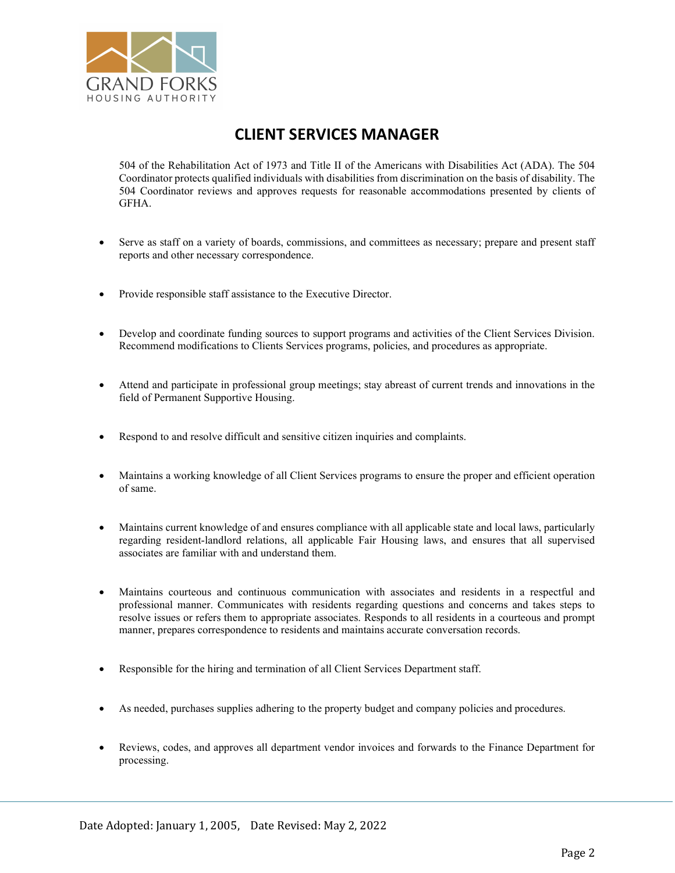

504 of the Rehabilitation Act of 1973 and Title II of the Americans with Disabilities Act (ADA). The 504 Coordinator protects qualified individuals with disabilities from discrimination on the basis of disability. The 504 Coordinator reviews and approves requests for reasonable accommodations presented by clients of GFHA.

- Serve as staff on a variety of boards, commissions, and committees as necessary; prepare and present staff reports and other necessary correspondence.
- Provide responsible staff assistance to the Executive Director.
- Develop and coordinate funding sources to support programs and activities of the Client Services Division. Recommend modifications to Clients Services programs, policies, and procedures as appropriate.
- Attend and participate in professional group meetings; stay abreast of current trends and innovations in the field of Permanent Supportive Housing.
- Respond to and resolve difficult and sensitive citizen inquiries and complaints.
- Maintains a working knowledge of all Client Services programs to ensure the proper and efficient operation of same.
- Maintains current knowledge of and ensures compliance with all applicable state and local laws, particularly regarding resident-landlord relations, all applicable Fair Housing laws, and ensures that all supervised associates are familiar with and understand them.
- Maintains courteous and continuous communication with associates and residents in a respectful and professional manner. Communicates with residents regarding questions and concerns and takes steps to resolve issues or refers them to appropriate associates. Responds to all residents in a courteous and prompt manner, prepares correspondence to residents and maintains accurate conversation records.
- Responsible for the hiring and termination of all Client Services Department staff.
- As needed, purchases supplies adhering to the property budget and company policies and procedures.
- Reviews, codes, and approves all department vendor invoices and forwards to the Finance Department for processing.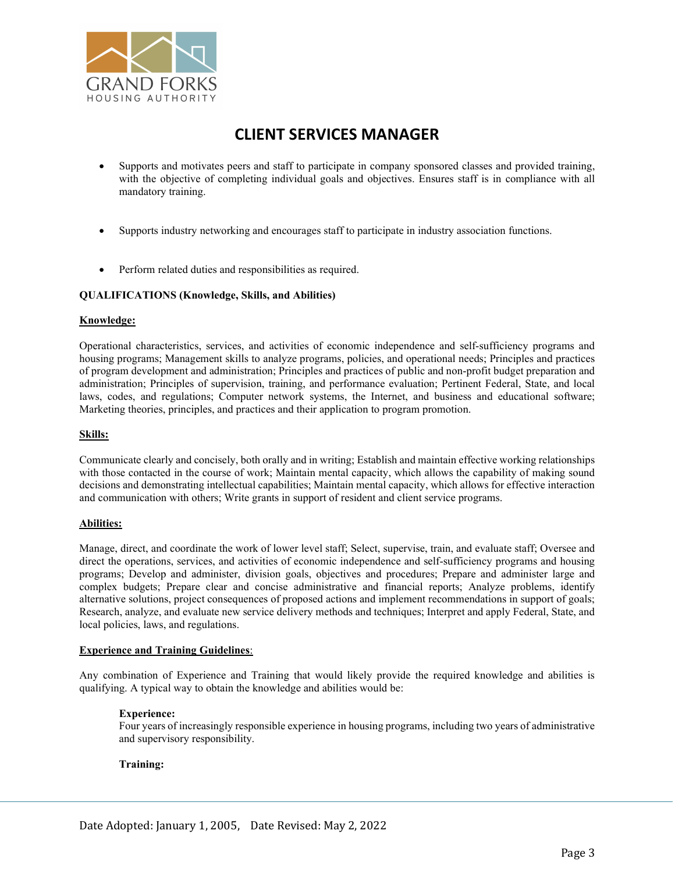

- Supports and motivates peers and staff to participate in company sponsored classes and provided training, with the objective of completing individual goals and objectives. Ensures staff is in compliance with all mandatory training.
- Supports industry networking and encourages staff to participate in industry association functions.
- Perform related duties and responsibilities as required.

## QUALIFICATIONS (Knowledge, Skills, and Abilities)

## Knowledge:

Operational characteristics, services, and activities of economic independence and self-sufficiency programs and housing programs; Management skills to analyze programs, policies, and operational needs; Principles and practices of program development and administration; Principles and practices of public and non-profit budget preparation and administration; Principles of supervision, training, and performance evaluation; Pertinent Federal, State, and local laws, codes, and regulations; Computer network systems, the Internet, and business and educational software; Marketing theories, principles, and practices and their application to program promotion.

## Skills:

Communicate clearly and concisely, both orally and in writing; Establish and maintain effective working relationships with those contacted in the course of work; Maintain mental capacity, which allows the capability of making sound decisions and demonstrating intellectual capabilities; Maintain mental capacity, which allows for effective interaction and communication with others; Write grants in support of resident and client service programs.

#### Abilities:

Manage, direct, and coordinate the work of lower level staff; Select, supervise, train, and evaluate staff; Oversee and direct the operations, services, and activities of economic independence and self-sufficiency programs and housing programs; Develop and administer, division goals, objectives and procedures; Prepare and administer large and complex budgets; Prepare clear and concise administrative and financial reports; Analyze problems, identify alternative solutions, project consequences of proposed actions and implement recommendations in support of goals; Research, analyze, and evaluate new service delivery methods and techniques; Interpret and apply Federal, State, and local policies, laws, and regulations.

#### Experience and Training Guidelines:

Any combination of Experience and Training that would likely provide the required knowledge and abilities is qualifying. A typical way to obtain the knowledge and abilities would be:

## Experience:

Four years of increasingly responsible experience in housing programs, including two years of administrative and supervisory responsibility.

## Training: